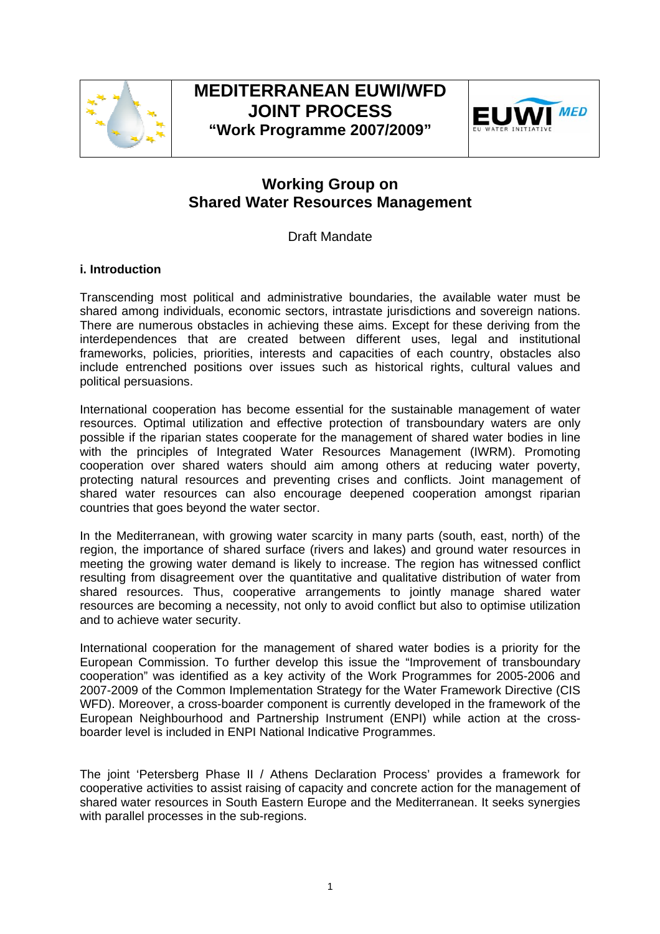

# **MEDITERRANEAN EUWI/WFD JOINT PROCESS "Work Programme 2007/2009"**



# **Working Group on Shared Water Resources Management**

Draft Mandate

## **i. Introduction**

Transcending most political and administrative boundaries, the available water must be shared among individuals, economic sectors, intrastate jurisdictions and sovereign nations. There are numerous obstacles in achieving these aims. Except for these deriving from the interdependences that are created between different uses, legal and institutional frameworks, policies, priorities, interests and capacities of each country, obstacles also include entrenched positions over issues such as historical rights, cultural values and political persuasions.

International cooperation has become essential for the sustainable management of water resources. Optimal utilization and effective protection of transboundary waters are only possible if the riparian states cooperate for the management of shared water bodies in line with the principles of Integrated Water Resources Management (IWRM). Promoting cooperation over shared waters should aim among others at reducing water poverty, protecting natural resources and preventing crises and conflicts. Joint management of shared water resources can also encourage deepened cooperation amongst riparian countries that goes beyond the water sector.

In the Mediterranean, with growing water scarcity in many parts (south, east, north) of the region, the importance of shared surface (rivers and lakes) and ground water resources in meeting the growing water demand is likely to increase. The region has witnessed conflict resulting from disagreement over the quantitative and qualitative distribution of water from shared resources. Thus, cooperative arrangements to jointly manage shared water resources are becoming a necessity, not only to avoid conflict but also to optimise utilization and to achieve water security.

International cooperation for the management of shared water bodies is a priority for the European Commission. To further develop this issue the "Improvement of transboundary cooperation" was identified as a key activity of the Work Programmes for 2005-2006 and 2007-2009 of the Common Implementation Strategy for the Water Framework Directive (CIS WFD). Moreover, a cross-boarder component is currently developed in the framework of the European Neighbourhood and Partnership Instrument (ENPI) while action at the crossboarder level is included in ENPI National Indicative Programmes.

The joint 'Petersberg Phase II / Athens Declaration Process' provides a framework for cooperative activities to assist raising of capacity and concrete action for the management of shared water resources in South Eastern Europe and the Mediterranean. It seeks synergies with parallel processes in the sub-regions.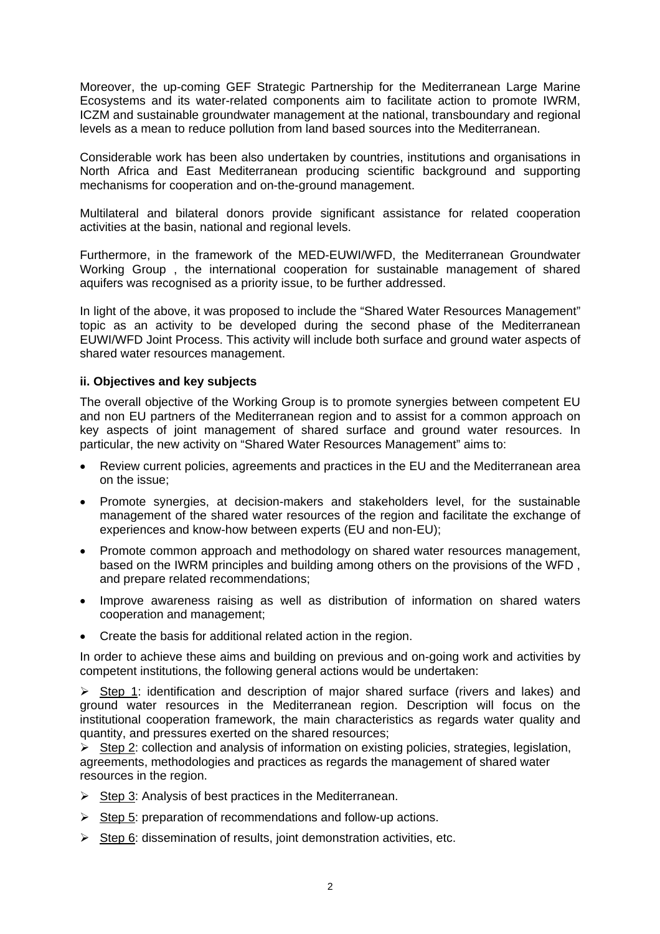Moreover, the up-coming GEF Strategic Partnership for the Mediterranean Large Marine Ecosystems and its water-related components aim to facilitate action to promote IWRM, ICZM and sustainable groundwater management at the national, transboundary and regional levels as a mean to reduce pollution from land based sources into the Mediterranean.

Considerable work has been also undertaken by countries, institutions and organisations in North Africa and East Mediterranean producing scientific background and supporting mechanisms for cooperation and on-the-ground management.

Multilateral and bilateral donors provide significant assistance for related cooperation activities at the basin, national and regional levels.

Furthermore, in the framework of the MED-EUWI/WFD, the Mediterranean Groundwater Working Group , the international cooperation for sustainable management of shared aquifers was recognised as a priority issue, to be further addressed.

In light of the above, it was proposed to include the "Shared Water Resources Management" topic as an activity to be developed during the second phase of the Mediterranean EUWI/WFD Joint Process. This activity will include both surface and ground water aspects of shared water resources management.

### **ii. Objectives and key subjects**

The overall objective of the Working Group is to promote synergies between competent EU and non EU partners of the Mediterranean region and to assist for a common approach on key aspects of joint management of shared surface and ground water resources. In particular, the new activity on "Shared Water Resources Management" aims to:

- Review current policies, agreements and practices in the EU and the Mediterranean area on the issue;
- Promote synergies, at decision-makers and stakeholders level, for the sustainable management of the shared water resources of the region and facilitate the exchange of experiences and know-how between experts (EU and non-EU);
- Promote common approach and methodology on shared water resources management, based on the IWRM principles and building among others on the provisions of the WFD , and prepare related recommendations;
- Improve awareness raising as well as distribution of information on shared waters cooperation and management;
- Create the basis for additional related action in the region.

In order to achieve these aims and building on previous and on-going work and activities by competent institutions, the following general actions would be undertaken:

 $\triangleright$  Step 1: identification and description of major shared surface (rivers and lakes) and ground water resources in the Mediterranean region. Description will focus on the institutional cooperation framework, the main characteristics as regards water quality and quantity, and pressures exerted on the shared resources;

 $\triangleright$  Step 2: collection and analysis of information on existing policies, strategies, legislation, agreements, methodologies and practices as regards the management of shared water resources in the region.

- $\triangleright$  Step 3: Analysis of best practices in the Mediterranean.
- $\triangleright$  Step 5: preparation of recommendations and follow-up actions.
- $\triangleright$  Step 6: dissemination of results, joint demonstration activities, etc.